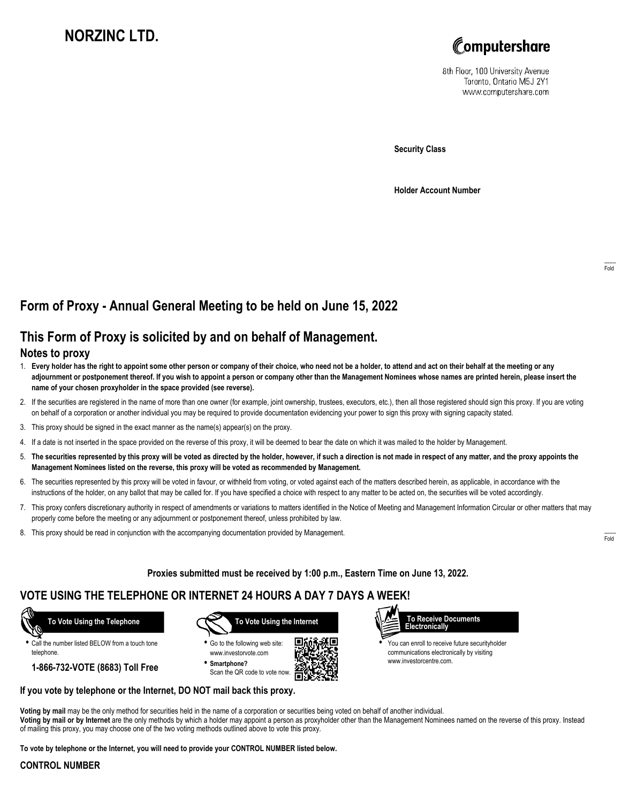# **NORZINC LTD.**



8th Floor, 100 University Avenue Toronto, Ontario M5J 2Y1 www.computershare.com

**Security Class**

**Holder Account Number**

# **Form of Proxy - Annual General Meeting to be held on June 15, 2022**

## **This Form of Proxy is solicited by and on behalf of Management.**

### **Notes to proxy**

- 1. **Every holder has the right to appoint some other person or company of their choice, who need not be a holder, to attend and act on their behalf at the meeting or any adjournment or postponement thereof. If you wish to appoint a person or company other than the Management Nominees whose names are printed herein, please insert the name of your chosen proxyholder in the space provided (see reverse).**
- 2. If the securities are registered in the name of more than one owner (for example, joint ownership, trustees, executors, etc.), then all those registered should sign this proxy. If you are voting on behalf of a corporation or another individual you may be required to provide documentation evidencing your power to sign this proxy with signing capacity stated.
- 3. This proxy should be signed in the exact manner as the name(s) appear(s) on the proxy.
- 4. If a date is not inserted in the space provided on the reverse of this proxy, it will be deemed to bear the date on which it was mailed to the holder by Management.
- 5. **The securities represented by this proxy will be voted as directed by the holder, however, if such a direction is not made in respect of any matter, and the proxy appoints the Management Nominees listed on the reverse, this proxy will be voted as recommended by Management.**
- 6. The securities represented by this proxy will be voted in favour, or withheld from voting, or voted against each of the matters described herein, as applicable, in accordance with the instructions of the holder, on any ballot that may be called for. If you have specified a choice with respect to any matter to be acted on, the securities will be voted accordingly.
- 7. This proxy confers discretionary authority in respect of amendments or variations to matters identified in the Notice of Meeting and Management Information Circular or other matters that may properly come before the meeting or any adjournment or postponement thereof, unless prohibited by law.
- 8. This proxy should be read in conjunction with the accompanying documentation provided by Management.

**Proxies submitted must be received by 1:00 p.m., Eastern Time on June 13, 2022.**

## **VOTE USING THE TELEPHONE OR INTERNET 24 HOURS A DAY 7 DAYS A WEEK!**

 **To Vote Using the Telephone**

**•** Call the number listed BELOW from a touch tone telephone.

**1-866-732-VOTE (8683) Toll Free**



**•** Go to the following web site: www.investorvote.com **• Smartphone?**

Scan the QR code to vote now.



г



**•** You can enroll to receive future securityholder communications electronically by visiting www.investorcentre.com.

### **If you vote by telephone or the Internet, DO NOT mail back this proxy.**

**Voting by mail** may be the only method for securities held in the name of a corporation or securities being voted on behalf of another individual. **Voting by mail or by Internet** are the only methods by which a holder may appoint a person as proxyholder other than the Management Nominees named on the reverse of this proxy. Instead of mailing this proxy, you may choose one of the two voting methods outlined above to vote this proxy.

**To vote by telephone or the Internet, you will need to provide your CONTROL NUMBER listed below.**

### **CONTROL NUMBER**